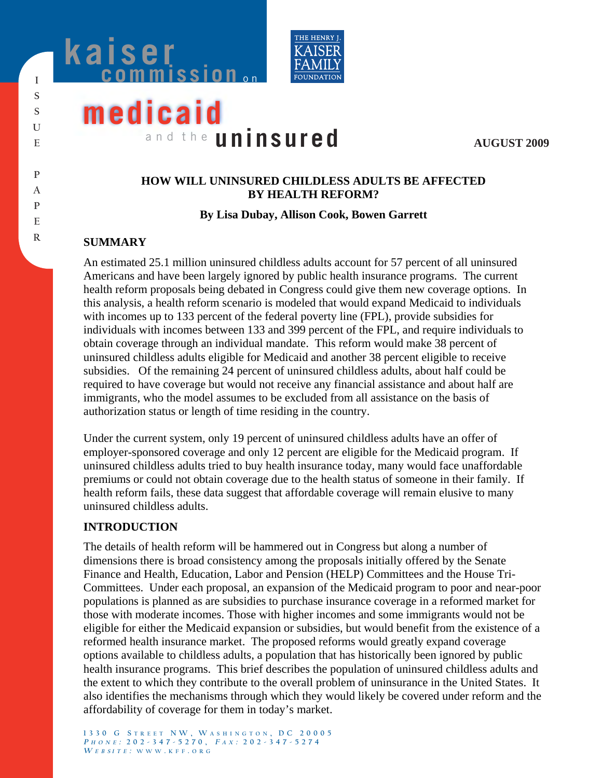



# **medicaid** and the **uninsured**

**AUGUST 2009**

## **HOW WILL UNINSURED CHILDLESS ADULTS BE AFFECTED BY HEALTH REFORM?**

#### **By Lisa Dubay, Allison Cook, Bowen Garrett**

# **SUMMARY**

An estimated 25.1 million uninsured childless adults account for 57 percent of all uninsured Americans and have been largely ignored by public health insurance programs. The current health reform proposals being debated in Congress could give them new coverage options. In this analysis, a health reform scenario is modeled that would expand Medicaid to individuals with incomes up to 133 percent of the federal poverty line (FPL), provide subsidies for individuals with incomes between 133 and 399 percent of the FPL, and require individuals to obtain coverage through an individual mandate. This reform would make 38 percent of uninsured childless adults eligible for Medicaid and another 38 percent eligible to receive subsidies. Of the remaining 24 percent of uninsured childless adults, about half could be required to have coverage but would not receive any financial assistance and about half are immigrants, who the model assumes to be excluded from all assistance on the basis of authorization status or length of time residing in the country.

Under the current system, only 19 percent of uninsured childless adults have an offer of employer-sponsored coverage and only 12 percent are eligible for the Medicaid program. If uninsured childless adults tried to buy health insurance today, many would face unaffordable premiums or could not obtain coverage due to the health status of someone in their family. If health reform fails, these data suggest that affordable coverage will remain elusive to many uninsured childless adults.

## **INTRODUCTION**

The details of health reform will be hammered out in Congress but along a number of dimensions there is broad consistency among the proposals initially offered by the Senate Finance and Health, Education, Labor and Pension (HELP) Committees and the House Tri-Committees. Under each proposal, an expansion of the Medicaid program to poor and near-poor populations is planned as are subsidies to purchase insurance coverage in a reformed market for those with moderate incomes. Those with higher incomes and some immigrants would not be eligible for either the Medicaid expansion or subsidies, but would benefit from the existence of a reformed health insurance market. The proposed reforms would greatly expand coverage options available to childless adults, a population that has historically been ignored by public health insurance programs. This brief describes the population of uninsured childless adults and the extent to which they contribute to the overall problem of uninsurance in the United States. It also identifies the mechanisms through which they would likely be covered under reform and the affordability of coverage for them in today's market.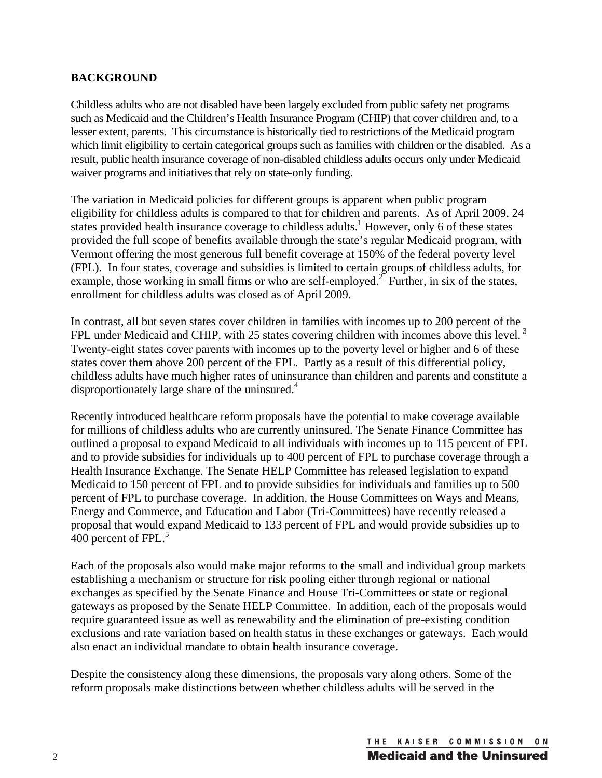## **BACKGROUND**

Childless adults who are not disabled have been largely excluded from public safety net programs such as Medicaid and the Children's Health Insurance Program (CHIP) that cover children and, to a lesser extent, parents. This circumstance is historically tied to restrictions of the Medicaid program which limit eligibility to certain categorical groups such as families with children or the disabled. As a result, public health insurance coverage of non-disabled childless adults occurs only under Medicaid waiver programs and initiatives that rely on state-only funding.

The variation in Medicaid policies for different groups is apparent when public program eligibility for childless adults is compared to that for children and parents. As of April 2009, 24 states provided health insurance coverage to childless adults.<sup>1</sup> However, only 6 of these states provided the full scope of benefits available through the state's regular Medicaid program, with Vermont offering the most generous full benefit coverage at 150% of the federal poverty level (FPL). In four states, coverage and subsidies is limited to certain groups of childless adults, for example, those working in small firms or who are self-employed.<sup>2</sup> Further, in six of the states, enrollment for childless adults was closed as of April 2009.

In contrast, all but seven states cover children in families with incomes up to 200 percent of the FPL under Medicaid and CHIP, with 25 states covering children with incomes above this level.<sup>3</sup> Twenty-eight states cover parents with incomes up to the poverty level or higher and 6 of these states cover them above 200 percent of the FPL. Partly as a result of this differential policy, childless adults have much higher rates of uninsurance than children and parents and constitute a disproportionately large share of the uninsured.<sup>4</sup>

Recently introduced healthcare reform proposals have the potential to make coverage available for millions of childless adults who are currently uninsured. The Senate Finance Committee has outlined a proposal to expand Medicaid to all individuals with incomes up to 115 percent of FPL and to provide subsidies for individuals up to 400 percent of FPL to purchase coverage through a Health Insurance Exchange. The Senate HELP Committee has released legislation to expand Medicaid to 150 percent of FPL and to provide subsidies for individuals and families up to 500 percent of FPL to purchase coverage. In addition, the House Committees on Ways and Means, Energy and Commerce, and Education and Labor (Tri-Committees) have recently released a proposal that would expand Medicaid to 133 percent of FPL and would provide subsidies up to 400 percent of FPL.<sup>5</sup>

Each of the proposals also would make major reforms to the small and individual group markets establishing a mechanism or structure for risk pooling either through regional or national exchanges as specified by the Senate Finance and House Tri-Committees or state or regional gateways as proposed by the Senate HELP Committee. In addition, each of the proposals would require guaranteed issue as well as renewability and the elimination of pre-existing condition exclusions and rate variation based on health status in these exchanges or gateways. Each would also enact an individual mandate to obtain health insurance coverage.

Despite the consistency along these dimensions, the proposals vary along others. Some of the reform proposals make distinctions between whether childless adults will be served in the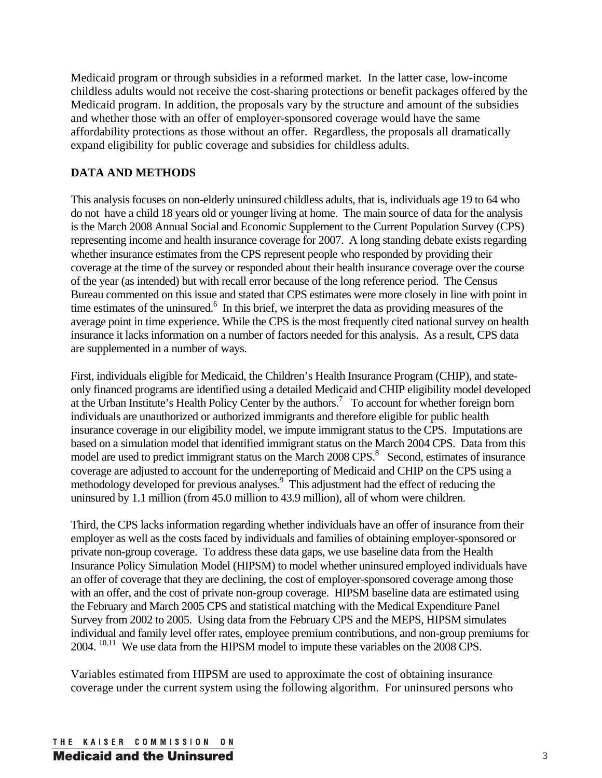Medicaid program or through subsidies in a reformed market. In the latter case, low-income childless adults would not receive the cost-sharing protections or benefit packages offered by the Medicaid program. In addition, the proposals vary by the structure and amount of the subsidies and whether those with an offer of employer-sponsored coverage would have the same affordability protections as those without an offer. Regardless, the proposals all dramatically expand eligibility for public coverage and subsidies for childless adults.

# **DATA AND METHODS**

This analysis focuses on non-elderly uninsured childless adults, that is, individuals age 19 to 64 who do not have a child 18 years old or younger living at home. The main source of data for the analysis is the March 2008 Annual Social and Economic Supplement to the Current Population Survey (CPS) representing income and health insurance coverage for 2007. A long standing debate exists regarding whether insurance estimates from the CPS represent people who responded by providing their coverage at the time of the survey or responded about their health insurance coverage over the course of the year (as intended) but with recall error because of the long reference period. The Census Bureau commented on this issue and stated that CPS estimates were more closely in line with point in time estimates of the uninsured.<sup>6</sup> In this brief, we interpret the data as providing measures of the average point in time experience. While the CPS is the most frequently cited national survey on health insurance it lacks information on a number of factors needed for this analysis. As a result, CPS data are supplemented in a number of ways.

First, individuals eligible for Medicaid, the Children's Health Insurance Program (CHIP), and stateonly financed programs are identified using a detailed Medicaid and CHIP eligibility model developed at the Urban Institute's Health Policy Center by the authors.<sup>7</sup> To account for whether foreign born individuals are unauthorized or authorized immigrants and therefore eligible for public health insurance coverage in our eligibility model, we impute immigrant status to the CPS. Imputations are based on a simulation model that identified immigrant status on the March 2004 CPS. Data from this model are used to predict immigrant status on the March 2008 CPS.<sup>8</sup> Second, estimates of insurance coverage are adjusted to account for the underreporting of Medicaid and CHIP on the CPS using a methodology developed for previous analyses.<sup>9</sup> This adjustment had the effect of reducing the uninsured by 1.1 million (from 45.0 million to 43.9 million), all of whom were children.

Third, the CPS lacks information regarding whether individuals have an offer of insurance from their employer as well as the costs faced by individuals and families of obtaining employer-sponsored or private non-group coverage. To address these data gaps, we use baseline data from the Health Insurance Policy Simulation Model (HIPSM) to model whether uninsured employed individuals have an offer of coverage that they are declining, the cost of employer-sponsored coverage among those with an offer, and the cost of private non-group coverage. HIPSM baseline data are estimated using the February and March 2005 CPS and statistical matching with the Medical Expenditure Panel Survey from 2002 to 2005. Using data from the February CPS and the MEPS, HIPSM simulates individual and family level offer rates, employee premium contributions, and non-group premiums for 2004. <sup>10,11</sup> We use data from the HIPSM model to impute these variables on the 2008 CPS.

Variables estimated from HIPSM are used to approximate the cost of obtaining insurance coverage under the current system using the following algorithm. For uninsured persons who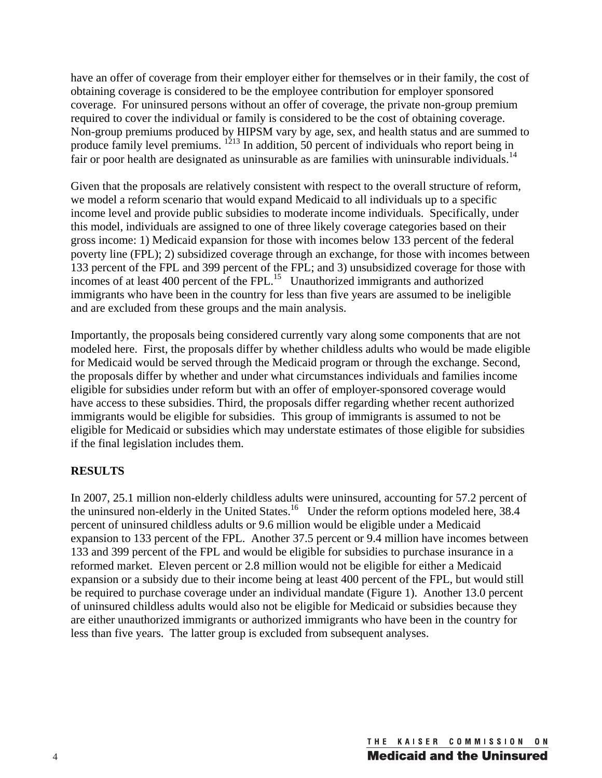have an offer of coverage from their employer either for themselves or in their family, the cost of obtaining coverage is considered to be the employee contribution for employer sponsored coverage. For uninsured persons without an offer of coverage, the private non-group premium required to cover the individual or family is considered to be the cost of obtaining coverage. Non-group premiums produced by HIPSM vary by age, sex, and health status and are summed to produce family level premiums. <sup>1213</sup> In addition, 50 percent of individuals who report being in fair or poor health are designated as uninsurable as are families with uninsurable individuals.<sup>14</sup>

Given that the proposals are relatively consistent with respect to the overall structure of reform, we model a reform scenario that would expand Medicaid to all individuals up to a specific income level and provide public subsidies to moderate income individuals. Specifically, under this model, individuals are assigned to one of three likely coverage categories based on their gross income: 1) Medicaid expansion for those with incomes below 133 percent of the federal poverty line (FPL); 2) subsidized coverage through an exchange, for those with incomes between 133 percent of the FPL and 399 percent of the FPL; and 3) unsubsidized coverage for those with incomes of at least 400 percent of the FPL.15 Unauthorized immigrants and authorized immigrants who have been in the country for less than five years are assumed to be ineligible and are excluded from these groups and the main analysis.

Importantly, the proposals being considered currently vary along some components that are not modeled here. First, the proposals differ by whether childless adults who would be made eligible for Medicaid would be served through the Medicaid program or through the exchange. Second, the proposals differ by whether and under what circumstances individuals and families income eligible for subsidies under reform but with an offer of employer-sponsored coverage would have access to these subsidies. Third, the proposals differ regarding whether recent authorized immigrants would be eligible for subsidies. This group of immigrants is assumed to not be eligible for Medicaid or subsidies which may understate estimates of those eligible for subsidies if the final legislation includes them.

## **RESULTS**

In 2007, 25.1 million non-elderly childless adults were uninsured, accounting for 57.2 percent of the uninsured non-elderly in the United States.<sup>16</sup> Under the reform options modeled here, 38.4 percent of uninsured childless adults or 9.6 million would be eligible under a Medicaid expansion to 133 percent of the FPL. Another 37.5 percent or 9.4 million have incomes between 133 and 399 percent of the FPL and would be eligible for subsidies to purchase insurance in a reformed market. Eleven percent or 2.8 million would not be eligible for either a Medicaid expansion or a subsidy due to their income being at least 400 percent of the FPL, but would still be required to purchase coverage under an individual mandate (Figure 1). Another 13.0 percent of uninsured childless adults would also not be eligible for Medicaid or subsidies because they are either unauthorized immigrants or authorized immigrants who have been in the country for less than five years. The latter group is excluded from subsequent analyses.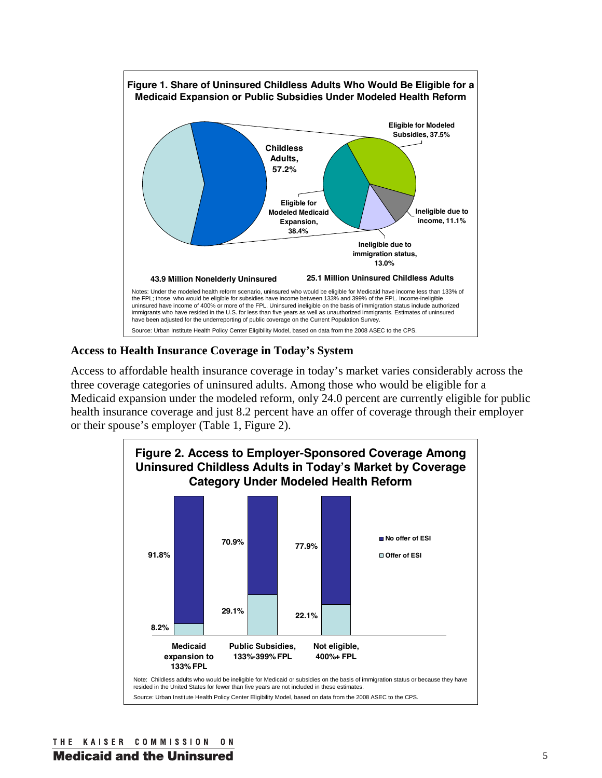

#### **Access to Health Insurance Coverage in Today's System**

Access to affordable health insurance coverage in today's market varies considerably across the three coverage categories of uninsured adults. Among those who would be eligible for a Medicaid expansion under the modeled reform, only 24.0 percent are currently eligible for public health insurance coverage and just 8.2 percent have an offer of coverage through their employer or their spouse's employer (Table 1, Figure 2).

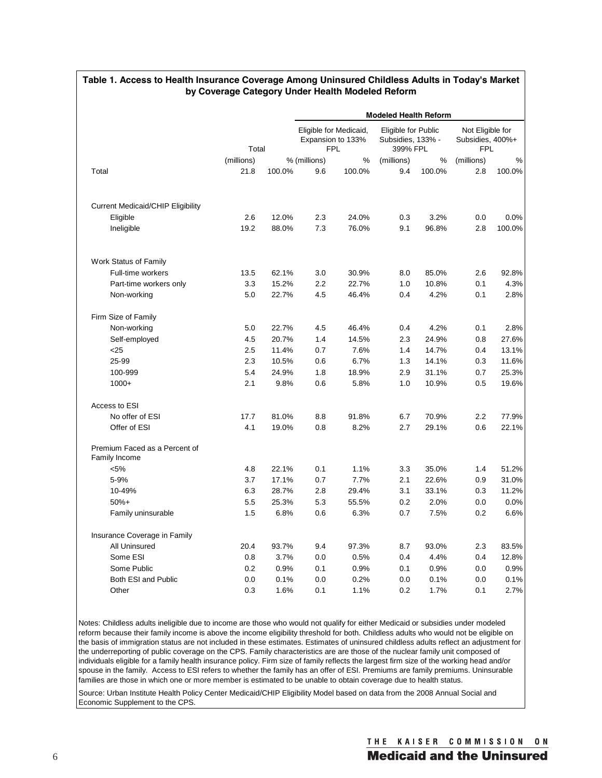|                                                | <b>Modeled Health Reform</b> |        |                                                           |        |                                                      |        |                                                    |        |  |
|------------------------------------------------|------------------------------|--------|-----------------------------------------------------------|--------|------------------------------------------------------|--------|----------------------------------------------------|--------|--|
|                                                | Total                        |        | Eligible for Medicaid,<br>Expansion to 133%<br><b>FPL</b> |        | Eligible for Public<br>Subsidies, 133% -<br>399% FPL |        | Not Eligible for<br>Subsidies, 400%+<br><b>FPL</b> |        |  |
|                                                | (millions)                   |        | % (millions)                                              | %      | (millions)                                           | %      | (millions)                                         | %      |  |
| Total                                          | 21.8                         | 100.0% | 9.6                                                       | 100.0% | 9.4                                                  | 100.0% | 2.8                                                | 100.0% |  |
| <b>Current Medicaid/CHIP Eligibility</b>       |                              |        |                                                           |        |                                                      |        |                                                    |        |  |
| Eligible                                       | 2.6                          | 12.0%  | 2.3                                                       | 24.0%  | 0.3                                                  | 3.2%   | 0.0                                                | 0.0%   |  |
| Ineligible                                     | 19.2                         | 88.0%  | 7.3                                                       | 76.0%  | 9.1                                                  | 96.8%  | 2.8                                                | 100.0% |  |
| Work Status of Family                          |                              |        |                                                           |        |                                                      |        |                                                    |        |  |
| Full-time workers                              | 13.5                         | 62.1%  | 3.0                                                       | 30.9%  | 8.0                                                  | 85.0%  | 2.6                                                | 92.8%  |  |
| Part-time workers only                         | 3.3                          | 15.2%  | 2.2                                                       | 22.7%  | 1.0                                                  | 10.8%  | 0.1                                                | 4.3%   |  |
| Non-working                                    | 5.0                          | 22.7%  | 4.5                                                       | 46.4%  | 0.4                                                  | 4.2%   | 0.1                                                | 2.8%   |  |
| Firm Size of Family                            |                              |        |                                                           |        |                                                      |        |                                                    |        |  |
| Non-working                                    | 5.0                          | 22.7%  | 4.5                                                       | 46.4%  | 0.4                                                  | 4.2%   | 0.1                                                | 2.8%   |  |
| Self-employed                                  | 4.5                          | 20.7%  | 1.4                                                       | 14.5%  | 2.3                                                  | 24.9%  | 0.8                                                | 27.6%  |  |
| $25$                                           | 2.5                          | 11.4%  | 0.7                                                       | 7.6%   | 1.4                                                  | 14.7%  | 0.4                                                | 13.1%  |  |
| 25-99                                          | 2.3                          | 10.5%  | 0.6                                                       | 6.7%   | $1.3$                                                | 14.1%  | 0.3                                                | 11.6%  |  |
| 100-999                                        | 5.4                          | 24.9%  | 1.8                                                       | 18.9%  | 2.9                                                  | 31.1%  | 0.7                                                | 25.3%  |  |
| $1000+$                                        | 2.1                          | 9.8%   | 0.6                                                       | 5.8%   | 1.0                                                  | 10.9%  | 0.5                                                | 19.6%  |  |
| Access to ESI                                  |                              |        |                                                           |        |                                                      |        |                                                    |        |  |
| No offer of ESI                                | 17.7                         | 81.0%  | 8.8                                                       | 91.8%  | 6.7                                                  | 70.9%  | 2.2                                                | 77.9%  |  |
| Offer of ESI                                   | 4.1                          | 19.0%  | 0.8                                                       | 8.2%   | 2.7                                                  | 29.1%  | 0.6                                                | 22.1%  |  |
| Premium Faced as a Percent of<br>Family Income |                              |        |                                                           |        |                                                      |        |                                                    |        |  |
| $< 5\%$                                        | 4.8                          | 22.1%  | 0.1                                                       | 1.1%   | 3.3                                                  | 35.0%  | 1.4                                                | 51.2%  |  |
| 5-9%                                           | 3.7                          | 17.1%  | 0.7                                                       | 7.7%   | 2.1                                                  | 22.6%  | 0.9                                                | 31.0%  |  |
| 10-49%                                         | 6.3                          | 28.7%  | 2.8                                                       | 29.4%  | 3.1                                                  | 33.1%  | 0.3                                                | 11.2%  |  |
| $50%+$                                         | 5.5                          | 25.3%  | 5.3                                                       | 55.5%  | 0.2                                                  | 2.0%   | 0.0                                                | 0.0%   |  |
| Family uninsurable                             | 1.5                          | 6.8%   | 0.6                                                       | 6.3%   | 0.7                                                  | 7.5%   | 0.2                                                | 6.6%   |  |
| Insurance Coverage in Family                   |                              |        |                                                           |        |                                                      |        |                                                    |        |  |
| All Uninsured                                  | 20.4                         | 93.7%  | 9.4                                                       | 97.3%  | 8.7                                                  | 93.0%  | 2.3                                                | 83.5%  |  |
| Some ESI                                       | 0.8                          | 3.7%   | 0.0                                                       | 0.5%   | 0.4                                                  | 4.4%   | 0.4                                                | 12.8%  |  |
| Some Public                                    | 0.2                          | 0.9%   | 0.1                                                       | 0.9%   | 0.1                                                  | 0.9%   | 0.0                                                | 0.9%   |  |
| Both ESI and Public                            | 0.0                          | 0.1%   | 0.0                                                       | 0.2%   | 0.0                                                  | 0.1%   | 0.0                                                | 0.1%   |  |
| Other                                          | 0.3                          | 1.6%   | 0.1                                                       | 1.1%   | 0.2                                                  | 1.7%   | 0.1                                                | 2.7%   |  |

#### **Table 1. Access to Health Insurance Coverage Among Uninsured Childless Adults in Today's Market by Coverage Category Under Health Modeled Reform**

Notes: Childless adults ineligible due to income are those who would not qualify for either Medicaid or subsidies under modeled reform because their family income is above the income eligibility threshold for both. Childless adults who would not be eligible on the basis of immigration status are not included in these estimates. Estimates of uninsured childless adults reflect an adjustment for the underreporting of public coverage on the CPS. Family characteristics are are those of the nuclear family unit composed of individuals eligible for a family health insurance policy. Firm size of family reflects the largest firm size of the working head and/or spouse in the family. Access to ESI refers to whether the family has an offer of ESI. Premiums are family premiums. Uninsurable families are those in which one or more member is estimated to be unable to obtain coverage due to health status.

Source: Urban Institute Health Policy Center Medicaid/CHIP Eligibility Model based on data from the 2008 Annual Social and Economic Supplement to the CPS.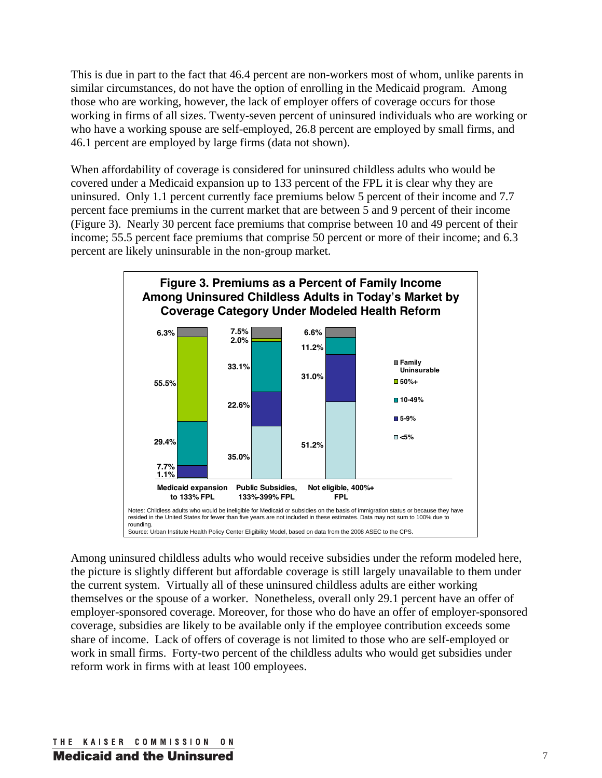This is due in part to the fact that 46.4 percent are non-workers most of whom, unlike parents in similar circumstances, do not have the option of enrolling in the Medicaid program. Among those who are working, however, the lack of employer offers of coverage occurs for those working in firms of all sizes. Twenty-seven percent of uninsured individuals who are working or who have a working spouse are self-employed, 26.8 percent are employed by small firms, and 46.1 percent are employed by large firms (data not shown).

When affordability of coverage is considered for uninsured childless adults who would be covered under a Medicaid expansion up to 133 percent of the FPL it is clear why they are uninsured. Only 1.1 percent currently face premiums below 5 percent of their income and 7.7 percent face premiums in the current market that are between 5 and 9 percent of their income (Figure 3). Nearly 30 percent face premiums that comprise between 10 and 49 percent of their income; 55.5 percent face premiums that comprise 50 percent or more of their income; and 6.3 percent are likely uninsurable in the non-group market.



Among uninsured childless adults who would receive subsidies under the reform modeled here, the picture is slightly different but affordable coverage is still largely unavailable to them under the current system. Virtually all of these uninsured childless adults are either working themselves or the spouse of a worker. Nonetheless, overall only 29.1 percent have an offer of employer-sponsored coverage. Moreover, for those who do have an offer of employer-sponsored coverage, subsidies are likely to be available only if the employee contribution exceeds some share of income. Lack of offers of coverage is not limited to those who are self-employed or work in small firms. Forty-two percent of the childless adults who would get subsidies under reform work in firms with at least 100 employees.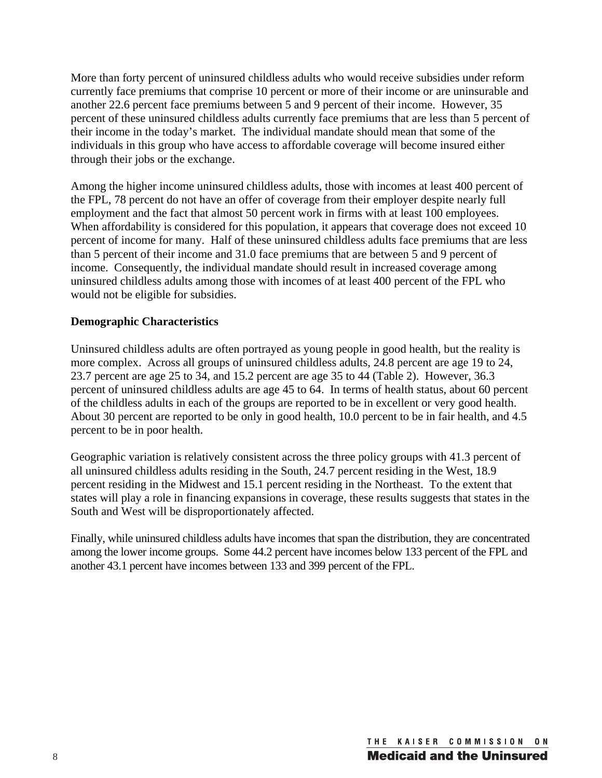More than forty percent of uninsured childless adults who would receive subsidies under reform currently face premiums that comprise 10 percent or more of their income or are uninsurable and another 22.6 percent face premiums between 5 and 9 percent of their income. However, 35 percent of these uninsured childless adults currently face premiums that are less than 5 percent of their income in the today's market. The individual mandate should mean that some of the individuals in this group who have access to affordable coverage will become insured either through their jobs or the exchange.

Among the higher income uninsured childless adults, those with incomes at least 400 percent of the FPL, 78 percent do not have an offer of coverage from their employer despite nearly full employment and the fact that almost 50 percent work in firms with at least 100 employees. When affordability is considered for this population, it appears that coverage does not exceed 10 percent of income for many. Half of these uninsured childless adults face premiums that are less than 5 percent of their income and 31.0 face premiums that are between 5 and 9 percent of income. Consequently, the individual mandate should result in increased coverage among uninsured childless adults among those with incomes of at least 400 percent of the FPL who would not be eligible for subsidies.

#### **Demographic Characteristics**

Uninsured childless adults are often portrayed as young people in good health, but the reality is more complex. Across all groups of uninsured childless adults, 24.8 percent are age 19 to 24, 23.7 percent are age 25 to 34, and 15.2 percent are age 35 to 44 (Table 2). However, 36.3 percent of uninsured childless adults are age 45 to 64. In terms of health status, about 60 percent of the childless adults in each of the groups are reported to be in excellent or very good health. About 30 percent are reported to be only in good health, 10.0 percent to be in fair health, and 4.5 percent to be in poor health.

Geographic variation is relatively consistent across the three policy groups with 41.3 percent of all uninsured childless adults residing in the South, 24.7 percent residing in the West, 18.9 percent residing in the Midwest and 15.1 percent residing in the Northeast. To the extent that states will play a role in financing expansions in coverage, these results suggests that states in the South and West will be disproportionately affected.

Finally, while uninsured childless adults have incomes that span the distribution, they are concentrated among the lower income groups. Some 44.2 percent have incomes below 133 percent of the FPL and another 43.1 percent have incomes between 133 and 399 percent of the FPL.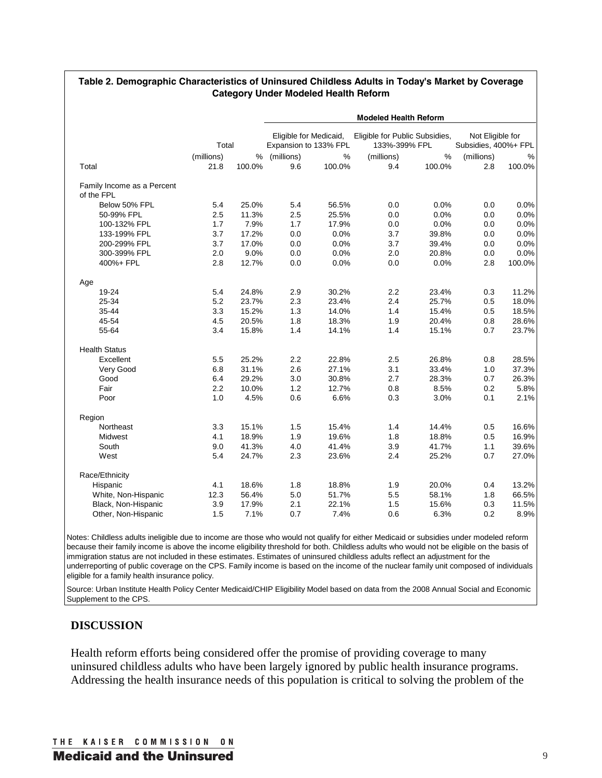|                            |                    |             | <b>Modeled Health Reform</b>                    |             |                                                 |                |                                          |                |  |  |  |  |
|----------------------------|--------------------|-------------|-------------------------------------------------|-------------|-------------------------------------------------|----------------|------------------------------------------|----------------|--|--|--|--|
|                            | Total              |             | Eligible for Medicaid,<br>Expansion to 133% FPL |             | Eligible for Public Subsidies,<br>133%-399% FPL |                | Not Eligible for<br>Subsidies, 400%+ FPL |                |  |  |  |  |
|                            |                    |             |                                                 |             |                                                 |                |                                          |                |  |  |  |  |
| Total                      | (millions)<br>21.8 | %<br>100.0% | (millions)<br>9.6                               | %<br>100.0% | (millions)<br>9.4                               | $\%$<br>100.0% | (millions)<br>2.8                        | $\%$<br>100.0% |  |  |  |  |
|                            |                    |             |                                                 |             |                                                 |                |                                          |                |  |  |  |  |
| Family Income as a Percent |                    |             |                                                 |             |                                                 |                |                                          |                |  |  |  |  |
| of the FPL                 |                    |             |                                                 |             |                                                 |                |                                          |                |  |  |  |  |
| Below 50% FPL              | 5.4                | 25.0%       | 5.4                                             | 56.5%       | 0.0                                             | 0.0%           | 0.0                                      | 0.0%           |  |  |  |  |
| 50-99% FPL                 | 2.5                | 11.3%       | 2.5                                             | 25.5%       | 0.0                                             | 0.0%           | 0.0                                      | 0.0%           |  |  |  |  |
| 100-132% FPL               | 1.7                | 7.9%        | 1.7                                             | 17.9%       | 0.0                                             | 0.0%           | 0.0                                      | 0.0%           |  |  |  |  |
| 133-199% FPL               | 3.7                | 17.2%       | 0.0                                             | 0.0%        | 3.7                                             | 39.8%          | 0.0                                      | 0.0%           |  |  |  |  |
| 200-299% FPL               | 3.7                | 17.0%       | 0.0                                             | 0.0%        | 3.7                                             | 39.4%          | 0.0                                      | 0.0%           |  |  |  |  |
| 300-399% FPL               | 2.0                | 9.0%        | 0.0                                             | 0.0%        | 2.0                                             | 20.8%          | 0.0                                      | 0.0%           |  |  |  |  |
| 400%+ FPL                  | 2.8                | 12.7%       | 0.0                                             | 0.0%        | 0.0                                             | 0.0%           | 2.8                                      | 100.0%         |  |  |  |  |
| Age                        |                    |             |                                                 |             |                                                 |                |                                          |                |  |  |  |  |
| 19-24                      | 5.4                | 24.8%       | 2.9                                             | 30.2%       | 2.2                                             | 23.4%          | 0.3                                      | 11.2%          |  |  |  |  |
| 25-34                      | 5.2                | 23.7%       | 2.3                                             | 23.4%       | 2.4                                             | 25.7%          | 0.5                                      | 18.0%          |  |  |  |  |
| 35-44                      | 3.3                | 15.2%       | 1.3                                             | 14.0%       | 1.4                                             | 15.4%          | 0.5                                      | 18.5%          |  |  |  |  |
| 45-54                      | 4.5                | 20.5%       | 1.8                                             | 18.3%       | 1.9                                             | 20.4%          | 0.8                                      | 28.6%          |  |  |  |  |
| 55-64                      | 3.4                | 15.8%       | 1.4                                             | 14.1%       | 1.4                                             | 15.1%          | 0.7                                      | 23.7%          |  |  |  |  |
| <b>Health Status</b>       |                    |             |                                                 |             |                                                 |                |                                          |                |  |  |  |  |
| Excellent                  | 5.5                | 25.2%       | 2.2                                             | 22.8%       | 2.5                                             | 26.8%          | 0.8                                      | 28.5%          |  |  |  |  |
| Very Good                  | 6.8                | 31.1%       | 2.6                                             | 27.1%       | 3.1                                             | 33.4%          | 1.0                                      | 37.3%          |  |  |  |  |
| Good                       | 6.4                | 29.2%       | 3.0                                             | 30.8%       | 2.7                                             | 28.3%          | 0.7                                      | 26.3%          |  |  |  |  |
| Fair                       | 2.2                | 10.0%       | 1.2                                             | 12.7%       | 0.8                                             | 8.5%           | 0.2                                      | 5.8%           |  |  |  |  |
| Poor                       | 1.0                | 4.5%        | 0.6                                             | 6.6%        | 0.3                                             | 3.0%           | 0.1                                      | 2.1%           |  |  |  |  |
| Region                     |                    |             |                                                 |             |                                                 |                |                                          |                |  |  |  |  |
| Northeast                  | 3.3                | 15.1%       | 1.5                                             | 15.4%       | 1.4                                             | 14.4%          | 0.5                                      | 16.6%          |  |  |  |  |
| Midwest                    | 4.1                | 18.9%       | 1.9                                             | 19.6%       | 1.8                                             | 18.8%          | 0.5                                      | 16.9%          |  |  |  |  |
| South                      | 9.0                | 41.3%       | 4.0                                             | 41.4%       | 3.9                                             | 41.7%          | 1.1                                      | 39.6%          |  |  |  |  |
| West                       | 5.4                | 24.7%       | 2.3                                             | 23.6%       | 2.4                                             | 25.2%          | 0.7                                      | 27.0%          |  |  |  |  |
| Race/Ethnicity             |                    |             |                                                 |             |                                                 |                |                                          |                |  |  |  |  |
| Hispanic                   | 4.1                | 18.6%       | 1.8                                             | 18.8%       | 1.9                                             | 20.0%          | 0.4                                      | 13.2%          |  |  |  |  |
| White, Non-Hispanic        | 12.3               | 56.4%       | 5.0                                             | 51.7%       | 5.5                                             | 58.1%          | 1.8                                      | 66.5%          |  |  |  |  |
| Black, Non-Hispanic        | 3.9                | 17.9%       | 2.1                                             | 22.1%       | 1.5                                             | 15.6%          | 0.3                                      | 11.5%          |  |  |  |  |
| Other, Non-Hispanic        | 1.5                | 7.1%        | 0.7                                             | 7.4%        | 0.6                                             | 6.3%           | 0.2                                      | 8.9%           |  |  |  |  |

#### **Table 2. Demographic Characteristics of Uninsured Childless Adults in Today's Market by Coverage Category Under Modeled Health Reform**

Notes: Childless adults ineligible due to income are those who would not qualify for either Medicaid or subsidies under modeled reform because their family income is above the income eligibility threshold for both. Childless adults who would not be eligible on the basis of immigration status are not included in these estimates. Estimates of uninsured childless adults reflect an adjustment for the underreporting of public coverage on the CPS. Family income is based on the income of the nuclear family unit composed of individuals eligible for a family health insurance policy.

Source: Urban Institute Health Policy Center Medicaid/CHIP Eligibility Model based on data from the 2008 Annual Social and Economic Supplement to the CPS.

## **DISCUSSION**

Health reform efforts being considered offer the promise of providing coverage to many uninsured childless adults who have been largely ignored by public health insurance programs. Addressing the health insurance needs of this population is critical to solving the problem of the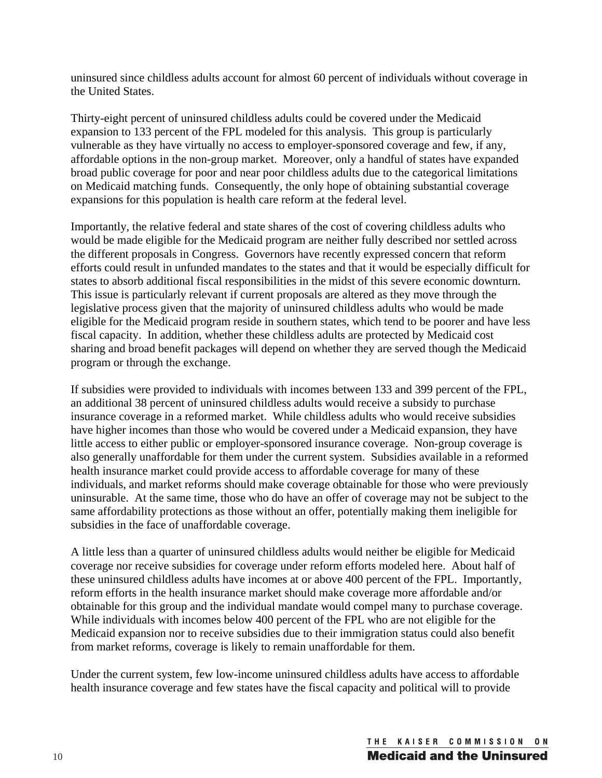uninsured since childless adults account for almost 60 percent of individuals without coverage in the United States.

Thirty-eight percent of uninsured childless adults could be covered under the Medicaid expansion to 133 percent of the FPL modeled for this analysis. This group is particularly vulnerable as they have virtually no access to employer-sponsored coverage and few, if any, affordable options in the non-group market. Moreover, only a handful of states have expanded broad public coverage for poor and near poor childless adults due to the categorical limitations on Medicaid matching funds. Consequently, the only hope of obtaining substantial coverage expansions for this population is health care reform at the federal level.

Importantly, the relative federal and state shares of the cost of covering childless adults who would be made eligible for the Medicaid program are neither fully described nor settled across the different proposals in Congress. Governors have recently expressed concern that reform efforts could result in unfunded mandates to the states and that it would be especially difficult for states to absorb additional fiscal responsibilities in the midst of this severe economic downturn. This issue is particularly relevant if current proposals are altered as they move through the legislative process given that the majority of uninsured childless adults who would be made eligible for the Medicaid program reside in southern states, which tend to be poorer and have less fiscal capacity. In addition, whether these childless adults are protected by Medicaid cost sharing and broad benefit packages will depend on whether they are served though the Medicaid program or through the exchange.

If subsidies were provided to individuals with incomes between 133 and 399 percent of the FPL, an additional 38 percent of uninsured childless adults would receive a subsidy to purchase insurance coverage in a reformed market. While childless adults who would receive subsidies have higher incomes than those who would be covered under a Medicaid expansion, they have little access to either public or employer-sponsored insurance coverage. Non-group coverage is also generally unaffordable for them under the current system. Subsidies available in a reformed health insurance market could provide access to affordable coverage for many of these individuals, and market reforms should make coverage obtainable for those who were previously uninsurable. At the same time, those who do have an offer of coverage may not be subject to the same affordability protections as those without an offer, potentially making them ineligible for subsidies in the face of unaffordable coverage.

A little less than a quarter of uninsured childless adults would neither be eligible for Medicaid coverage nor receive subsidies for coverage under reform efforts modeled here. About half of these uninsured childless adults have incomes at or above 400 percent of the FPL. Importantly, reform efforts in the health insurance market should make coverage more affordable and/or obtainable for this group and the individual mandate would compel many to purchase coverage. While individuals with incomes below 400 percent of the FPL who are not eligible for the Medicaid expansion nor to receive subsidies due to their immigration status could also benefit from market reforms, coverage is likely to remain unaffordable for them.

Under the current system, few low-income uninsured childless adults have access to affordable health insurance coverage and few states have the fiscal capacity and political will to provide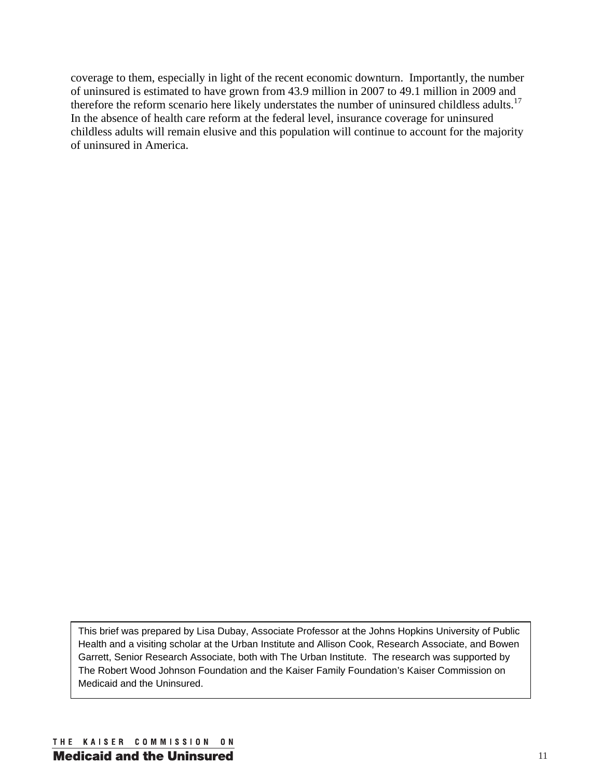coverage to them, especially in light of the recent economic downturn. Importantly, the number of uninsured is estimated to have grown from 43.9 million in 2007 to 49.1 million in 2009 and therefore the reform scenario here likely understates the number of uninsured childless adults.<sup>17</sup> In the absence of health care reform at the federal level, insurance coverage for uninsured childless adults will remain elusive and this population will continue to account for the majority of uninsured in America.

This brief was prepared by Lisa Dubay, Associate Professor at the Johns Hopkins University of Public Health and a visiting scholar at the Urban Institute and Allison Cook, Research Associate, and Bowen Garrett, Senior Research Associate, both with The Urban Institute. The research was supported by The Robert Wood Johnson Foundation and the Kaiser Family Foundation's Kaiser Commission on Medicaid and the Uninsured.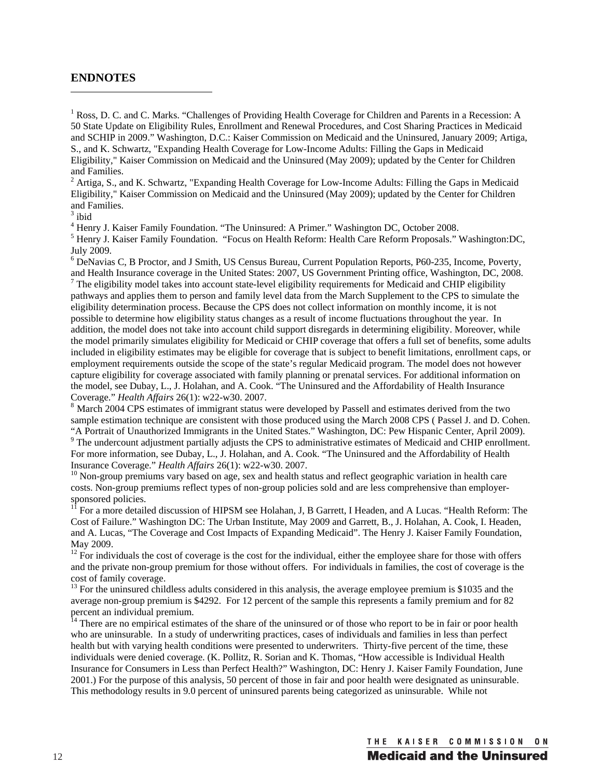#### **ENDNOTES**

<sup>1</sup> Ross, D. C. and C. Marks. "Challenges of Providing Health Coverage for Children and Parents in a Recession: A 50 State Update on Eligibility Rules, Enrollment and Renewal Procedures, and Cost Sharing Practices in Medicaid and SCHIP in 2009." Washington, D.C.: Kaiser Commission on Medicaid and the Uninsured, January 2009; Artiga, S., and K. Schwartz, "Expanding Health Coverage for Low-Income Adults: Filling the Gaps in Medicaid Eligibility," Kaiser Commission on Medicaid and the Uninsured (May 2009); updated by the Center for Children and Families.

 $2$  Artiga, S., and K. Schwartz, "Expanding Health Coverage for Low-Income Adults: Filling the Gaps in Medicaid Eligibility," Kaiser Commission on Medicaid and the Uninsured (May 2009); updated by the Center for Children and Families.

 $3$  ibid

<sup>4</sup> Henry J. Kaiser Family Foundation. "The Uninsured: A Primer." Washington DC, October 2008.<br><sup>5</sup> Henry J. Kaiser Family Foundation. "Focus on Health Reform: Health Care Reform Proposals." Washington:DC, July 2009.

<sup>6</sup> DeNavias C, B Proctor, and J Smith, US Census Bureau, Current Population Reports, P60-235, Income, Poverty, and Health Insurance coverage in the United States: 2007, US Government Printing office, Washington, DC, 2008.

 $\frac{7}{1}$  The eligibility model takes into account state-level eligibility requirements for Medicaid and CHIP eligibility pathways and applies them to person and family level data from the March Supplement to the CPS to simulate the eligibility determination process. Because the CPS does not collect information on monthly income, it is not possible to determine how eligibility status changes as a result of income fluctuations throughout the year. In addition, the model does not take into account child support disregards in determining eligibility. Moreover, while the model primarily simulates eligibility for Medicaid or CHIP coverage that offers a full set of benefits, some adults included in eligibility estimates may be eligible for coverage that is subject to benefit limitations, enrollment caps, or employment requirements outside the scope of the state's regular Medicaid program. The model does not however capture eligibility for coverage associated with family planning or prenatal services. For additional information on the model, see Dubay, L., J. Holahan, and A. Cook. "The Uninsured and the Affordability of Health Insurance Coverage." *Health Affairs* 26(1): w22-w30. 2007.<br><sup>8</sup> March 2004 CPS estimates of immigrant status were developed by Passell and estimates derived from the two

sample estimation technique are consistent with those produced using the March 2008 CPS ( Passel J. and D. Cohen. "A Portrait of Unauthorized Immigrants in the United States." Washington, DC: Pew Hispanic Center, April 2009). 9

<sup>9</sup> The undercount adjustment partially adjusts the CPS to administrative estimates of Medicaid and CHIP enrollment. For more information, see Dubay, L., J. Holahan, and A. Cook. "The Uninsured and the Affordability of Health Insurance Coverage." Health Affairs 26(1): w22-w30. 2007.

<sup>10</sup> Non-group premiums vary based on age, sex and health status and reflect geographic variation in health care costs. Non-group premiums reflect types of non-group policies sold and are less comprehensive than employersponsored policies.

11 For a more detailed discussion of HIPSM see Holahan, J, B Garrett, I Headen, and A Lucas. "Health Reform: The Cost of Failure." Washington DC: The Urban Institute, May 2009 and Garrett, B., J. Holahan, A. Cook, I. Headen, and A. Lucas, "The Coverage and Cost Impacts of Expanding Medicaid". The Henry J. Kaiser Family Foundation, May 2009.

 $12$  For individuals the cost of coverage is the cost for the individual, either the employee share for those with offers and the private non-group premium for those without offers. For individuals in families, the cost of coverage is the cost of family coverage.

<sup>13</sup> For the uninsured childless adults considered in this analysis, the average employee premium is \$1035 and the average non-group premium is \$4292. For 12 percent of the sample this represents a family premium and for 82 percent an individual premium.

<sup>14</sup> There are no empirical estimates of the share of the uninsured or of those who report to be in fair or poor health who are uninsurable. In a study of underwriting practices, cases of individuals and families in less than perfect health but with varying health conditions were presented to underwriters. Thirty-five percent of the time, these individuals were denied coverage. (K. Pollitz, R. Sorian and K. Thomas, "How accessible is Individual Health Insurance for Consumers in Less than Perfect Health?" Washington, DC: Henry J. Kaiser Family Foundation, June 2001.) For the purpose of this analysis, 50 percent of those in fair and poor health were designated as uninsurable. This methodology results in 9.0 percent of uninsured parents being categorized as uninsurable. While not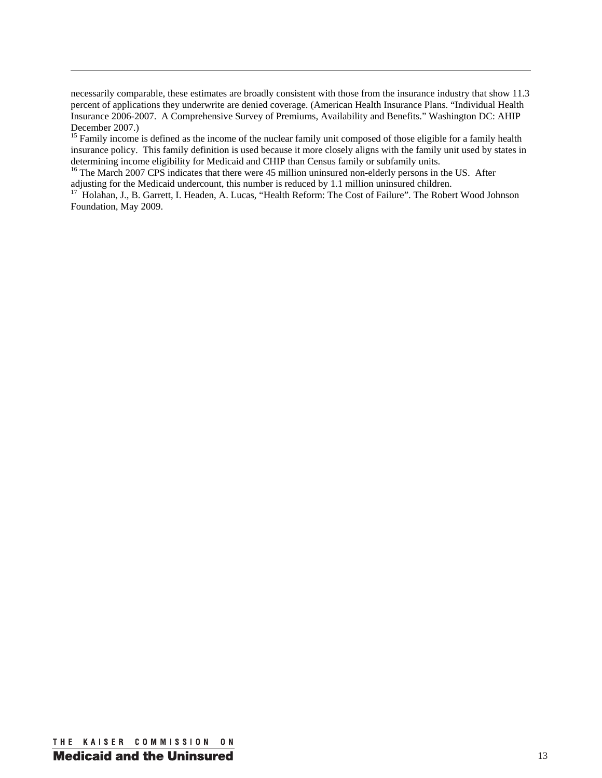necessarily comparable, these estimates are broadly consistent with those from the insurance industry that show 11.3 percent of applications they underwrite are denied coverage. (American Health Insurance Plans. "Individual Health Insurance 2006-2007. A Comprehensive Survey of Premiums, Availability and Benefits." Washington DC: AHIP December 2007.)

<u> 1989 - Andrea Santa Andrea Andrea Andrea Andrea Andrea Andrea Andrea Andrea Andrea Andrea Andrea Andrea Andr</u>

<sup>15</sup> Family income is defined as the income of the nuclear family unit composed of those eligible for a family health insurance policy. This family definition is used because it more closely aligns with the family unit used by states in determining income eligibility for Medicaid and CHIP than Census family or subfamily units.

 $16$  The March 2007 CPS indicates that there were 45 million uninsured non-elderly persons in the US. After adjusting for the Medicaid undercount, this number is reduced by 1.1 million uninsured children.

<sup>17</sup> Holahan, J., B. Garrett, I. Headen, A. Lucas, "Health Reform: The Cost of Failure". The Robert Wood Johnson Foundation, May 2009.